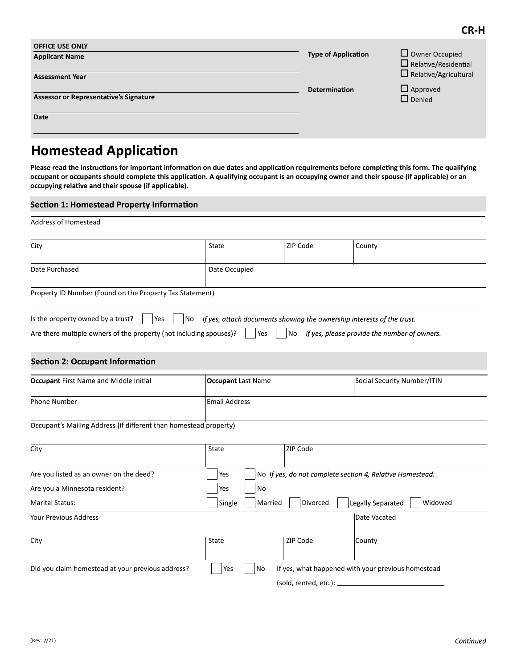| <b>OFFICE USE ONLY</b><br><b>Applicant Name</b> | <b>Type of Application</b> | $\Box$ Owner Occupied<br>$\Box$ Relative/Residential |  |
|-------------------------------------------------|----------------------------|------------------------------------------------------|--|
| <b>Assessment Year</b>                          |                            | $\Box$ Relative/Agricultural                         |  |
| <b>Assessor or Representative's Signature</b>   | <b>Determination</b>       | $\Box$ Approved<br>$\Box$ Denied                     |  |
| Date                                            |                            |                                                      |  |

# **Homestead Application**

Please read the instructions for important information on due dates and application requirements before completing this form. The qualifying occupant or occupants should complete this application. A qualifying occupant is an occupying owner and their spouse (if applicable) or an

### Address of Homestead

| <b>Section 1: Homestead Property Information</b>                                                                                                                                                                                                                                               |                                                                              |          |                                                 |
|------------------------------------------------------------------------------------------------------------------------------------------------------------------------------------------------------------------------------------------------------------------------------------------------|------------------------------------------------------------------------------|----------|-------------------------------------------------|
| Address of Homestead                                                                                                                                                                                                                                                                           |                                                                              |          |                                                 |
| City                                                                                                                                                                                                                                                                                           | State                                                                        | ZIP Code | County                                          |
| Date Purchased                                                                                                                                                                                                                                                                                 | Date Occupied                                                                |          |                                                 |
| Property ID Number (Found on the Property Tax Statement)                                                                                                                                                                                                                                       |                                                                              |          |                                                 |
| Yes                                                                                                                                                                                                                                                                                            | If yes, attach documents showing the ownership interests of the trust.<br>No |          |                                                 |
|                                                                                                                                                                                                                                                                                                | Yes                                                                          |          | No If yes, please provide the number of owners. |
|                                                                                                                                                                                                                                                                                                | <b>Occupant Last Name</b>                                                    |          | Social Security Number/ITIN                     |
|                                                                                                                                                                                                                                                                                                | <b>Email Address</b>                                                         |          |                                                 |
| Is the property owned by a trust?<br>Are there multiple owners of the property (not including spouses)?<br><b>Section 2: Occupant Information</b><br><b>Occupant First Name and Middle Initial</b><br><b>Phone Number</b><br>Occupant's Mailing Address (if different than homestead property) |                                                                              |          |                                                 |

| City                                              | State             | <b>ZIP Code</b>       |                                                                   |
|---------------------------------------------------|-------------------|-----------------------|-------------------------------------------------------------------|
| Are you listed as an owner on the deed?           | Yes               |                       | $\vert$ No If yes, do not complete section 4, Relative Homestead. |
| Are you a Minnesota resident?                     | <b>No</b><br>Yes  |                       |                                                                   |
| <b>Marital Status:</b>                            | Single<br>Married | Divorced              | Legally Separated<br>Widowed                                      |
| Your Previous Address                             |                   |                       | Date Vacated                                                      |
| City                                              | State             | ZIP Code              | County                                                            |
| Did you claim homestead at your previous address? | No<br>Yes         |                       | If yes, what happened with your previous homestead                |
|                                                   |                   | (sold, rented, etc.): |                                                                   |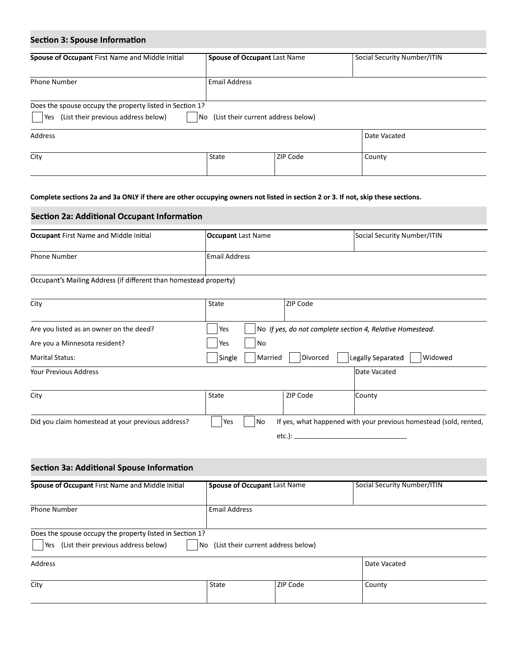| <b>Section 3: Spouse Information</b>                                                                                            |                      |                                    |                             |
|---------------------------------------------------------------------------------------------------------------------------------|----------------------|------------------------------------|-----------------------------|
| Spouse of Occupant First Name and Middle Initial                                                                                |                      | Spouse of Occupant Last Name       | Social Security Number/ITIN |
| Phone Number                                                                                                                    | <b>Email Address</b> |                                    |                             |
| Does the spouse occupy the property listed in Section 1?<br>Yes (List their previous address below)                             | No                   | (List their current address below) |                             |
| Address                                                                                                                         |                      |                                    | Date Vacated                |
| City                                                                                                                            | State                | ZIP Code                           | County                      |
| Complete sections 2a and 3a ONLY if there are other occupying owners not listed in section 2 or 3. If not, skip these sections. |                      |                                    |                             |
| <b>Section 2a: Additional Occupant Information</b>                                                                              |                      |                                    |                             |
| <b>Occupant</b> First Name and Middle Initial                                                                                   | Occupant Last Name   |                                    | Social Security Number/ITIN |
| Phone Number                                                                                                                    | Email Address        |                                    |                             |
| Occupant's Mailing Address (if different than homestead property)                                                               |                      |                                    |                             |
| City                                                                                                                            | State                | ZIP Code                           |                             |

| <b>Occupant First Name and Middle Initial</b>                     | <b>Occupant Last Name</b> |           | Social Security Number/ITIN                                       |
|-------------------------------------------------------------------|---------------------------|-----------|-------------------------------------------------------------------|
| <b>Phone Number</b>                                               | <b>Email Address</b>      |           |                                                                   |
| Occupant's Mailing Address (if different than homestead property) |                           |           |                                                                   |
| City                                                              | State                     | ZIP Code  |                                                                   |
| Are you listed as an owner on the deed?                           | Yes                       |           | No If yes, do not complete section 4, Relative Homestead.         |
| Are you a Minnesota resident?                                     | No<br>Yes                 |           |                                                                   |
| <b>Marital Status:</b>                                            | Single<br>Married         | Divorced  | Legally Separated<br>Widowed                                      |
| Your Previous Address                                             |                           |           | Date Vacated                                                      |
| City                                                              | State                     | ZIP Code  | County                                                            |
| Did you claim homestead at your previous address?                 | Yes<br>No                 |           | If yes, what happened with your previous homestead (sold, rented, |
|                                                                   |                           | $etc.$ ): |                                                                   |

| <b>YOUT PTEVIOUS ADDITESS</b>                            |                                               |          | pate vacated                                                      |
|----------------------------------------------------------|-----------------------------------------------|----------|-------------------------------------------------------------------|
| City                                                     | State                                         | ZIP Code | County                                                            |
| Did you claim homestead at your previous address?        | Yes<br>No                                     |          | If yes, what happened with your previous homestead (sold, rented, |
|                                                          |                                               |          |                                                                   |
| Section 3a: Additional Spouse Information                |                                               |          |                                                                   |
| Spouse of Occupant First Name and Middle Initial         | <b>Spouse of Occupant Last Name</b>           |          | Social Security Number/ITIN                                       |
| Phone Number                                             | <b>Email Address</b>                          |          |                                                                   |
| Does the spouse occupy the property listed in Section 1? |                                               |          |                                                                   |
| Yes (List their previous address below)                  | $\vert$ No (List their current address below) |          |                                                                   |
| Address                                                  |                                               |          | Date Vacated                                                      |
|                                                          | State                                         | ZIP Code | County                                                            |
| City                                                     |                                               |          |                                                                   |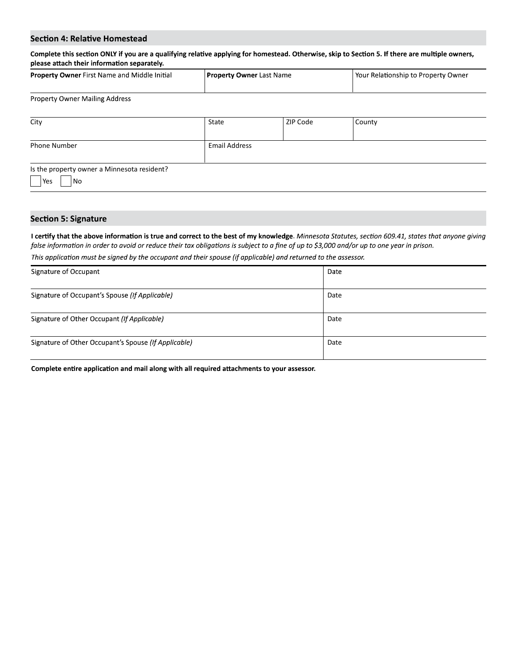| <b>Property Owner</b> First Name and Middle Initial | <b>Property Owner Last Name</b> | Your Relationship to Property Owner |
|-----------------------------------------------------|---------------------------------|-------------------------------------|
| <b>Property Owner Mailing Address</b>               |                                 |                                     |

| <b>Section 4: Relative Homestead</b>                                                                                                            |                          |          |                                     |
|-------------------------------------------------------------------------------------------------------------------------------------------------|--------------------------|----------|-------------------------------------|
| Complete this section ONLY if you are a qualifying relative applying for homestead. Otherwise, skip to Section 5. If there are multiple owners, |                          |          |                                     |
| please attach their information separately.                                                                                                     |                          |          |                                     |
| Property Owner First Name and Middle Initial                                                                                                    | Property Owner Last Name |          | Your Relationship to Property Owner |
|                                                                                                                                                 |                          |          |                                     |
|                                                                                                                                                 |                          |          |                                     |
| <b>Property Owner Mailing Address</b>                                                                                                           |                          |          |                                     |
|                                                                                                                                                 | State                    | ZIP Code | County                              |
| City                                                                                                                                            |                          |          |                                     |
| <b>Phone Number</b>                                                                                                                             | <b>Email Address</b>     |          |                                     |
| Is the property owner a Minnesota resident?                                                                                                     |                          |          |                                     |

### **Section 5: Signature**

I certify that the above information is true and correct to the best of my knowledge. Minnesota Statutes, section 609.41, states that anyone giving<br>false information in order to avoid or reduce their tax obligations is sub

| Signature of Occupant                                | Date |
|------------------------------------------------------|------|
| Signature of Occupant's Spouse (If Applicable)       | Date |
| Signature of Other Occupant (If Applicable)          | Date |
| Signature of Other Occupant's Spouse (If Applicable) | Date |

Complete entire application and mail along with all required attachments to your assessor.